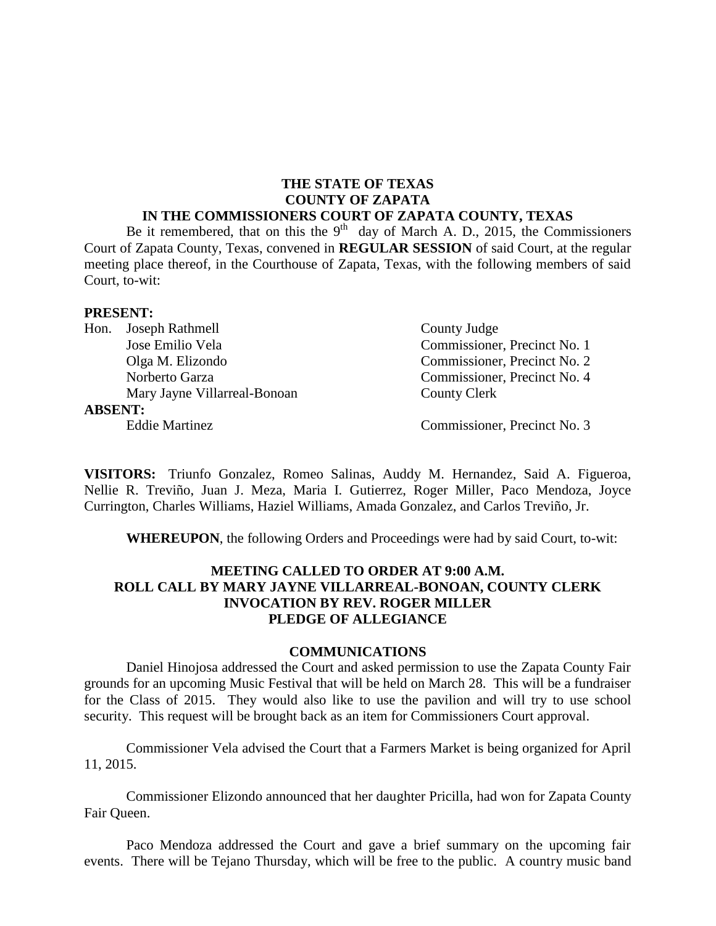#### **THE STATE OF TEXAS COUNTY OF ZAPATA IN THE COMMISSIONERS COURT OF ZAPATA COUNTY, TEXAS**

Be it remembered, that on this the  $9<sup>th</sup>$  day of March A. D., 2015, the Commissioners Court of Zapata County, Texas, convened in **REGULAR SESSION** of said Court, at the regular meeting place thereof, in the Courthouse of Zapata, Texas, with the following members of said Court, to-wit:

#### **PRESENT:**

|                | Hon. Joseph Rathmell         | County Judge                 |
|----------------|------------------------------|------------------------------|
|                | Jose Emilio Vela             | Commissioner, Precinct No. 1 |
|                | Olga M. Elizondo             | Commissioner, Precinct No. 2 |
|                | Norberto Garza               | Commissioner, Precinct No. 4 |
|                | Mary Jayne Villarreal-Bonoan | <b>County Clerk</b>          |
| <b>ABSENT:</b> |                              |                              |
|                | <b>Eddie Martinez</b>        | Commissioner, Precinct No. 3 |
|                |                              |                              |

**VISITORS:** Triunfo Gonzalez, Romeo Salinas, Auddy M. Hernandez, Said A. Figueroa, Nellie R. Treviño, Juan J. Meza, Maria I. Gutierrez, Roger Miller, Paco Mendoza, Joyce Currington, Charles Williams, Haziel Williams, Amada Gonzalez, and Carlos Treviño, Jr.

**WHEREUPON**, the following Orders and Proceedings were had by said Court, to-wit:

#### **MEETING CALLED TO ORDER AT 9:00 A.M. ROLL CALL BY MARY JAYNE VILLARREAL-BONOAN, COUNTY CLERK INVOCATION BY REV. ROGER MILLER PLEDGE OF ALLEGIANCE**

#### **COMMUNICATIONS**

Daniel Hinojosa addressed the Court and asked permission to use the Zapata County Fair grounds for an upcoming Music Festival that will be held on March 28. This will be a fundraiser for the Class of 2015. They would also like to use the pavilion and will try to use school security. This request will be brought back as an item for Commissioners Court approval.

Commissioner Vela advised the Court that a Farmers Market is being organized for April 11, 2015.

Commissioner Elizondo announced that her daughter Pricilla, had won for Zapata County Fair Queen.

Paco Mendoza addressed the Court and gave a brief summary on the upcoming fair events. There will be Tejano Thursday, which will be free to the public. A country music band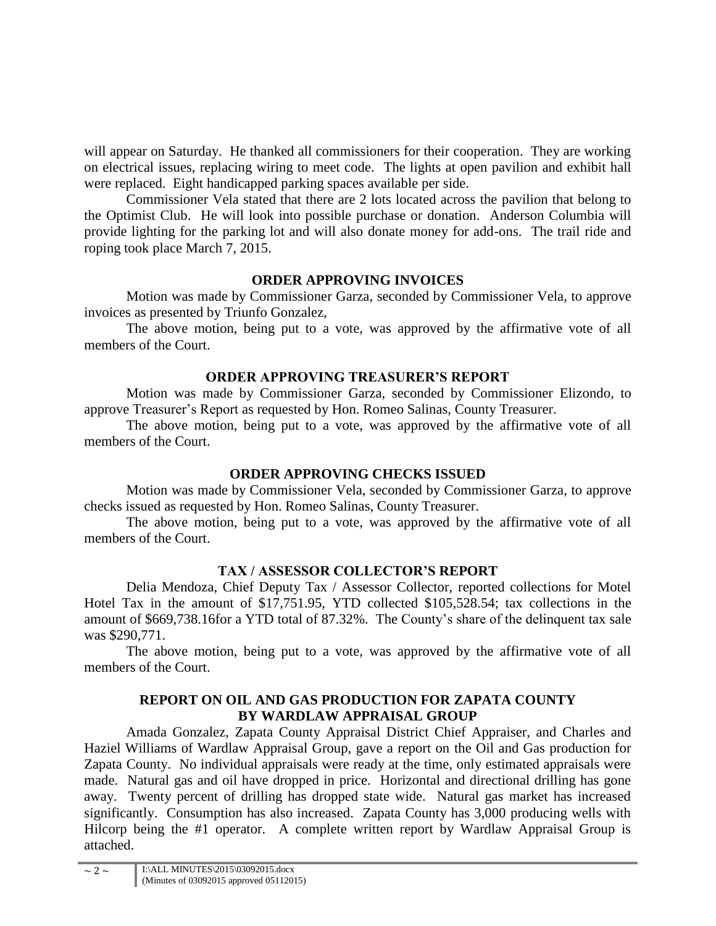will appear on Saturday. He thanked all commissioners for their cooperation. They are working on electrical issues, replacing wiring to meet code. The lights at open pavilion and exhibit hall were replaced. Eight handicapped parking spaces available per side.

Commissioner Vela stated that there are 2 lots located across the pavilion that belong to the Optimist Club. He will look into possible purchase or donation. Anderson Columbia will provide lighting for the parking lot and will also donate money for add-ons. The trail ride and roping took place March 7, 2015.

# **ORDER APPROVING INVOICES**

Motion was made by Commissioner Garza, seconded by Commissioner Vela, to approve invoices as presented by Triunfo Gonzalez,

The above motion, being put to a vote, was approved by the affirmative vote of all members of the Court.

# **ORDER APPROVING TREASURER'S REPORT**

Motion was made by Commissioner Garza, seconded by Commissioner Elizondo, to approve Treasurer's Report as requested by Hon. Romeo Salinas, County Treasurer.

The above motion, being put to a vote, was approved by the affirmative vote of all members of the Court.

# **ORDER APPROVING CHECKS ISSUED**

Motion was made by Commissioner Vela, seconded by Commissioner Garza, to approve checks issued as requested by Hon. Romeo Salinas, County Treasurer.

The above motion, being put to a vote, was approved by the affirmative vote of all members of the Court.

# **TAX / ASSESSOR COLLECTOR'S REPORT**

Delia Mendoza, Chief Deputy Tax / Assessor Collector, reported collections for Motel Hotel Tax in the amount of \$17,751.95, YTD collected \$105,528.54; tax collections in the amount of \$669,738.16for a YTD total of 87.32%. The County's share of the delinquent tax sale was \$290,771.

The above motion, being put to a vote, was approved by the affirmative vote of all members of the Court.

### **REPORT ON OIL AND GAS PRODUCTION FOR ZAPATA COUNTY BY WARDLAW APPRAISAL GROUP**

Amada Gonzalez, Zapata County Appraisal District Chief Appraiser, and Charles and Haziel Williams of Wardlaw Appraisal Group, gave a report on the Oil and Gas production for Zapata County. No individual appraisals were ready at the time, only estimated appraisals were made. Natural gas and oil have dropped in price. Horizontal and directional drilling has gone away. Twenty percent of drilling has dropped state wide. Natural gas market has increased significantly. Consumption has also increased. Zapata County has 3,000 producing wells with Hilcorp being the #1 operator. A complete written report by Wardlaw Appraisal Group is attached.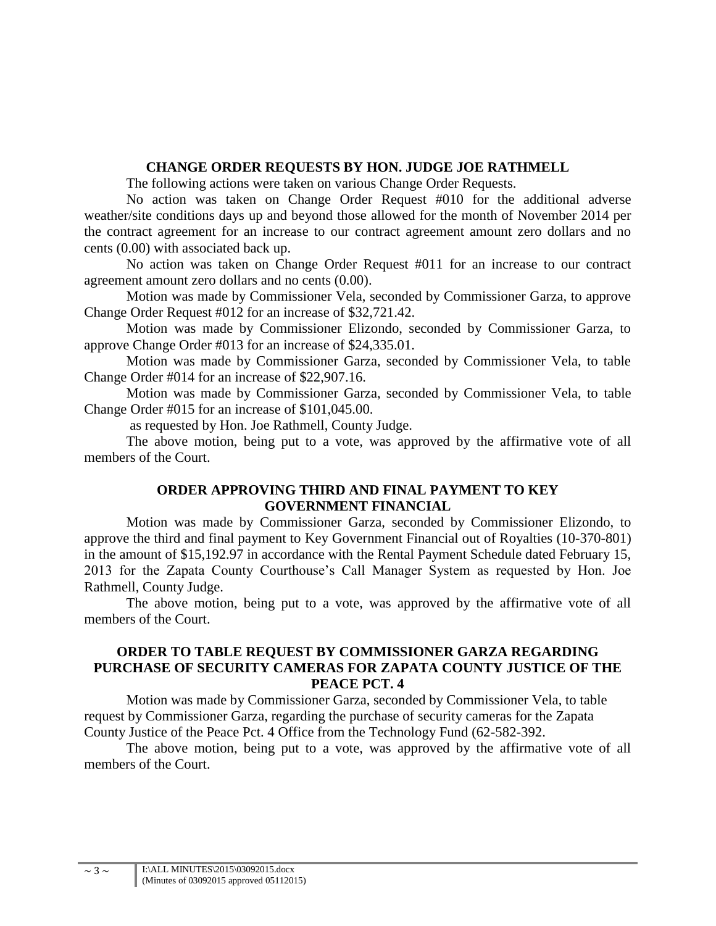#### **CHANGE ORDER REQUESTS BY HON. JUDGE JOE RATHMELL**

The following actions were taken on various Change Order Requests.

No action was taken on Change Order Request #010 for the additional adverse weather/site conditions days up and beyond those allowed for the month of November 2014 per the contract agreement for an increase to our contract agreement amount zero dollars and no cents (0.00) with associated back up.

No action was taken on Change Order Request #011 for an increase to our contract agreement amount zero dollars and no cents (0.00).

Motion was made by Commissioner Vela, seconded by Commissioner Garza, to approve Change Order Request #012 for an increase of \$32,721.42.

Motion was made by Commissioner Elizondo, seconded by Commissioner Garza, to approve Change Order #013 for an increase of \$24,335.01.

Motion was made by Commissioner Garza, seconded by Commissioner Vela, to table Change Order #014 for an increase of \$22,907.16.

Motion was made by Commissioner Garza, seconded by Commissioner Vela, to table Change Order #015 for an increase of \$101,045.00.

as requested by Hon. Joe Rathmell, County Judge.

The above motion, being put to a vote, was approved by the affirmative vote of all members of the Court.

#### **ORDER APPROVING THIRD AND FINAL PAYMENT TO KEY GOVERNMENT FINANCIAL**

Motion was made by Commissioner Garza, seconded by Commissioner Elizondo, to approve the third and final payment to Key Government Financial out of Royalties (10-370-801) in the amount of \$15,192.97 in accordance with the Rental Payment Schedule dated February 15, 2013 for the Zapata County Courthouse's Call Manager System as requested by Hon. Joe Rathmell, County Judge.

The above motion, being put to a vote, was approved by the affirmative vote of all members of the Court.

### **ORDER TO TABLE REQUEST BY COMMISSIONER GARZA REGARDING PURCHASE OF SECURITY CAMERAS FOR ZAPATA COUNTY JUSTICE OF THE PEACE PCT. 4**

Motion was made by Commissioner Garza, seconded by Commissioner Vela, to table request by Commissioner Garza, regarding the purchase of security cameras for the Zapata County Justice of the Peace Pct. 4 Office from the Technology Fund (62-582-392.

The above motion, being put to a vote, was approved by the affirmative vote of all members of the Court.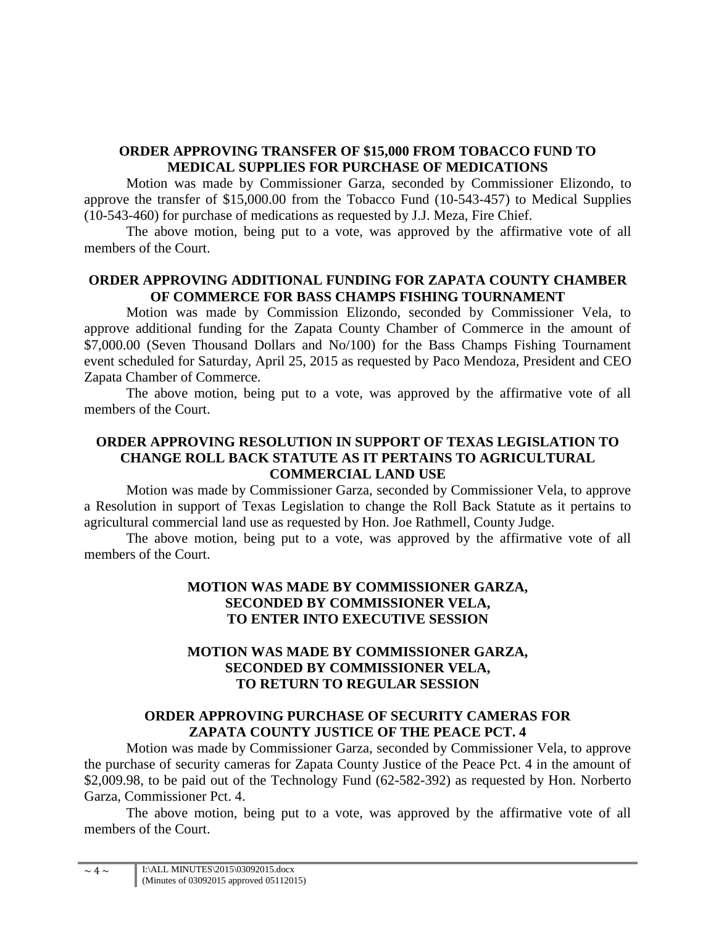#### **ORDER APPROVING TRANSFER OF \$15,000 FROM TOBACCO FUND TO MEDICAL SUPPLIES FOR PURCHASE OF MEDICATIONS**

Motion was made by Commissioner Garza, seconded by Commissioner Elizondo, to approve the transfer of \$15,000.00 from the Tobacco Fund (10-543-457) to Medical Supplies (10-543-460) for purchase of medications as requested by J.J. Meza, Fire Chief.

The above motion, being put to a vote, was approved by the affirmative vote of all members of the Court.

### **ORDER APPROVING ADDITIONAL FUNDING FOR ZAPATA COUNTY CHAMBER OF COMMERCE FOR BASS CHAMPS FISHING TOURNAMENT**

Motion was made by Commission Elizondo, seconded by Commissioner Vela, to approve additional funding for the Zapata County Chamber of Commerce in the amount of \$7,000.00 (Seven Thousand Dollars and No/100) for the Bass Champs Fishing Tournament event scheduled for Saturday, April 25, 2015 as requested by Paco Mendoza, President and CEO Zapata Chamber of Commerce.

The above motion, being put to a vote, was approved by the affirmative vote of all members of the Court.

### **ORDER APPROVING RESOLUTION IN SUPPORT OF TEXAS LEGISLATION TO CHANGE ROLL BACK STATUTE AS IT PERTAINS TO AGRICULTURAL COMMERCIAL LAND USE**

Motion was made by Commissioner Garza, seconded by Commissioner Vela, to approve a Resolution in support of Texas Legislation to change the Roll Back Statute as it pertains to agricultural commercial land use as requested by Hon. Joe Rathmell, County Judge.

The above motion, being put to a vote, was approved by the affirmative vote of all members of the Court.

### **MOTION WAS MADE BY COMMISSIONER GARZA, SECONDED BY COMMISSIONER VELA, TO ENTER INTO EXECUTIVE SESSION**

### **MOTION WAS MADE BY COMMISSIONER GARZA, SECONDED BY COMMISSIONER VELA, TO RETURN TO REGULAR SESSION**

#### **ORDER APPROVING PURCHASE OF SECURITY CAMERAS FOR ZAPATA COUNTY JUSTICE OF THE PEACE PCT. 4**

Motion was made by Commissioner Garza, seconded by Commissioner Vela, to approve the purchase of security cameras for Zapata County Justice of the Peace Pct. 4 in the amount of \$2,009.98, to be paid out of the Technology Fund (62-582-392) as requested by Hon. Norberto Garza, Commissioner Pct. 4.

The above motion, being put to a vote, was approved by the affirmative vote of all members of the Court.